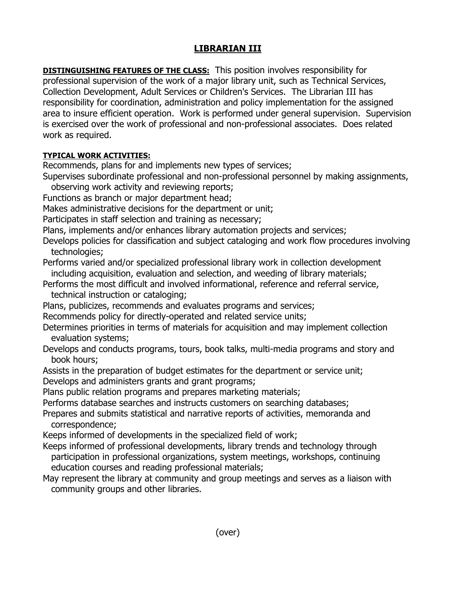## **LIBRARIAN III**

**DISTINGUISHING FEATURES OF THE CLASS:** This position involves responsibility for professional supervision of the work of a major library unit, such as Technical Services, Collection Development, Adult Services or Children's Services. The Librarian III has responsibility for coordination, administration and policy implementation for the assigned area to insure efficient operation. Work is performed under general supervision. Supervision is exercised over the work of professional and non-professional associates. Does related work as required.

## **TYPICAL WORK ACTIVITIES:**

Recommends, plans for and implements new types of services;

- Supervises subordinate professional and non-professional personnel by making assignments,
- observing work activity and reviewing reports;
- Functions as branch or major department head;
- Makes administrative decisions for the department or unit;
- Participates in staff selection and training as necessary;
- Plans, implements and/or enhances library automation projects and services;
- Develops policies for classification and subject cataloging and work flow procedures involving technologies;
- Performs varied and/or specialized professional library work in collection development including acquisition, evaluation and selection, and weeding of library materials;
- Performs the most difficult and involved informational, reference and referral service, technical instruction or cataloging;
- Plans, publicizes, recommends and evaluates programs and services;
- Recommends policy for directly-operated and related service units;
- Determines priorities in terms of materials for acquisition and may implement collection evaluation systems;
- Develops and conducts programs, tours, book talks, multi-media programs and story and book hours;
- Assists in the preparation of budget estimates for the department or service unit; Develops and administers grants and grant programs;
- Plans public relation programs and prepares marketing materials;
- Performs database searches and instructs customers on searching databases;
- Prepares and submits statistical and narrative reports of activities, memoranda and correspondence;
- Keeps informed of developments in the specialized field of work;
- Keeps informed of professional developments, library trends and technology through participation in professional organizations, system meetings, workshops, continuing education courses and reading professional materials;
- May represent the library at community and group meetings and serves as a liaison with community groups and other libraries.